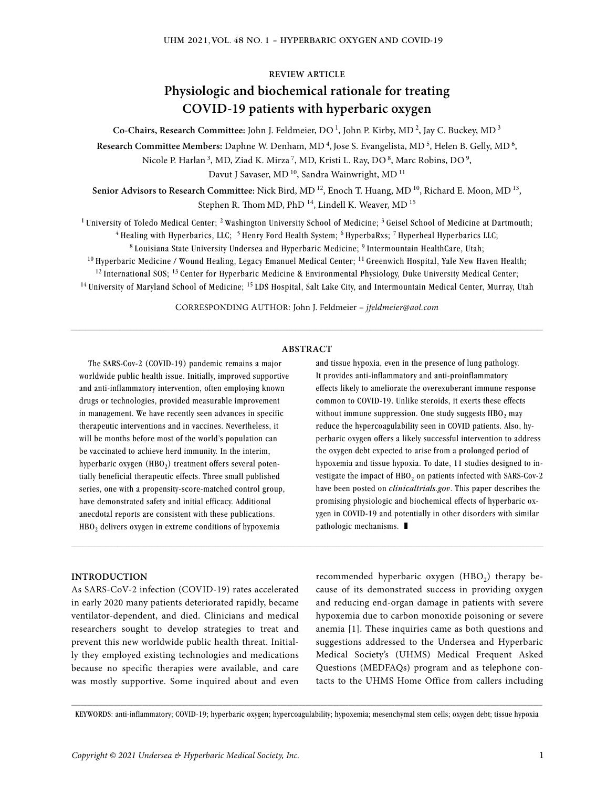#### **REVIEW ARTICLE**

# **Physiologic and biochemical rationale for treating COVID-19 patients with hyperbaric oxygen**

**Co-Chairs, Research Committee:** John J. Feldmeier, DO 1, John P. Kirby, MD 2, Jay C. Buckey, MD 3

Research Committee Members: Daphne W. Denham, MD<sup>4</sup>, Jose S. Evangelista, MD<sup>5</sup>, Helen B. Gelly, MD<sup>6</sup>,

Nicole P. Harlan<sup>3</sup>, MD, Ziad K. Mirza<sup>7</sup>, MD, Kristi L. Ray, DO<sup>8</sup>, Marc Robins, DO<sup>9</sup>,

Davut J Savaser, MD<sup>10</sup>, Sandra Wainwright, MD<sup>11</sup>

Senior Advisors to Research Committee: Nick Bird, MD<sup>12</sup>, Enoch T. Huang, MD<sup>10</sup>, Richard E. Moon, MD<sup>13</sup>, Stephen R. Thom MD, PhD<sup>14</sup>, Lindell K. Weaver, MD<sup>15</sup>

<sup>1</sup> University of Toledo Medical Center; <sup>2</sup> Washington University School of Medicine; <sup>3</sup> Geisel School of Medicine at Dartmouth; <sup>4</sup> Healing with Hyperbarics, LLC; <sup>5</sup> Henry Ford Health System; <sup>6</sup> HyperbaRxs; <sup>7</sup> Hyperheal Hyperbarics LLC;

8 Louisiana State University Undersea and Hyperbaric Medicine; 9 Intermountain HealthCare, Utah;  $10$  Hyperbaric Medicine / Wound Healing, Legacy Emanuel Medical Center;  $11$  Greenwich Hospital, Yale New Haven Health;  $12$  International SOS;  $13$  Center for Hyperbaric Medicine & Environmental Physiology, Duke University Medical Center; <sup>14</sup> University of Maryland School of Medicine; <sup>15</sup> LDS Hospital, Salt Lake City, and Intermountain Medical Center, Murray, Utah

CORRESPONDING AUTHOR: John J. Feldmeier – *jfeldmeier@aol.com*

 $\_$  , and the state of the state of the state of the state of the state of the state of the state of the state of the state of the state of the state of the state of the state of the state of the state of the state of the

#### **ABSTRACT**

The SARS-Cov-2 (COVID-19) pandemic remains a major worldwide public health issue. Initially, improved supportive and anti-inflammatory intervention, often employing known drugs or technologies, provided measurable improvement in management. We have recently seen advances in specific therapeutic interventions and in vaccines. Nevertheless, it will be months before most of the world's population can be vaccinated to achieve herd immunity. In the interim, hyperbaric oxygen  $(HBO<sub>2</sub>)$  treatment offers several potentially beneficial therapeutic effects. Three small published series, one with a propensity-score-matched control group, have demonstrated safety and initial efficacy. Additional anecdotal reports are consistent with these publications. HBO<sub>2</sub> delivers oxygen in extreme conditions of hypoxemia

and tissue hypoxia, even in the presence of lung pathology. It provides anti-inflammatory and anti-proinflammatory effects likely to ameliorate the overexuberant immune response common to COVID-19. Unlike steroids, it exerts these effects without immune suppression. One study suggests  $HBO<sub>2</sub>$  may reduce the hypercoagulability seen in COVID patients. Also, hyperbaric oxygen offers a likely successful intervention to address the oxygen debt expected to arise from a prolonged period of hypoxemia and tissue hypoxia. To date, 11 studies designed to investigate the impact of  $HBO<sub>2</sub>$  on patients infected with SARS-Cov-2 have been posted on *clinicaltrials.gov*. This paper describes the promising physiologic and biochemical effects of hyperbaric oxygen in COVID-19 and potentially in other disorders with similar pathologic mechanisms.  $\blacksquare$ 

#### **INTRODUCTION**

As SARS-CoV-2 infection (COVID-19) rates accelerated in early 2020 many patients deteriorated rapidly, became ventilator-dependent, and died. Clinicians and medical researchers sought to develop strategies to treat and prevent this new worldwide public health threat. Initially they employed existing technologies and medications because no specific therapies were available, and care was mostly supportive. Some inquired about and even

recommended hyperbaric oxygen  $(HBO_2)$  therapy because of its demonstrated success in providing oxygen and reducing end-organ damage in patients with severe hypoxemia due to carbon monoxide poisoning or severe anemia [1]. These inquiries came as both questions and suggestions addressed to the Undersea and Hyperbaric Medical Society's (UHMS) Medical Frequent Asked Questions (MEDFAQs) program and as telephone contacts to the UHMS Home Office from callers including

**\_\_\_\_\_\_\_\_\_\_\_\_\_\_\_\_\_\_\_\_\_\_\_\_\_\_\_\_\_\_\_\_\_\_\_\_\_\_\_\_\_\_\_\_\_\_\_\_\_\_\_\_\_\_\_\_\_\_\_\_\_\_\_\_\_\_\_\_\_\_\_\_\_\_\_\_\_\_\_\_\_\_\_\_\_\_\_\_\_\_\_\_\_\_\_\_\_\_\_\_\_\_\_\_\_\_\_\_\_\_\_\_\_\_\_\_\_\_\_\_\_\_\_\_\_\_\_\_\_\_\_\_\_\_\_\_\_\_\_\_\_\_\_\_\_\_\_\_\_\_\_\_\_** KEYWORDS: anti-inflammatory; COVID-19; hyperbaric oxygen; hypercoagulability; hypoxemia; mesenchymal stem cells; oxygen debt; tissue hypoxia

 $\_$  , and the state of the state of the state of the state of the state of the state of the state of the state of the state of the state of the state of the state of the state of the state of the state of the state of the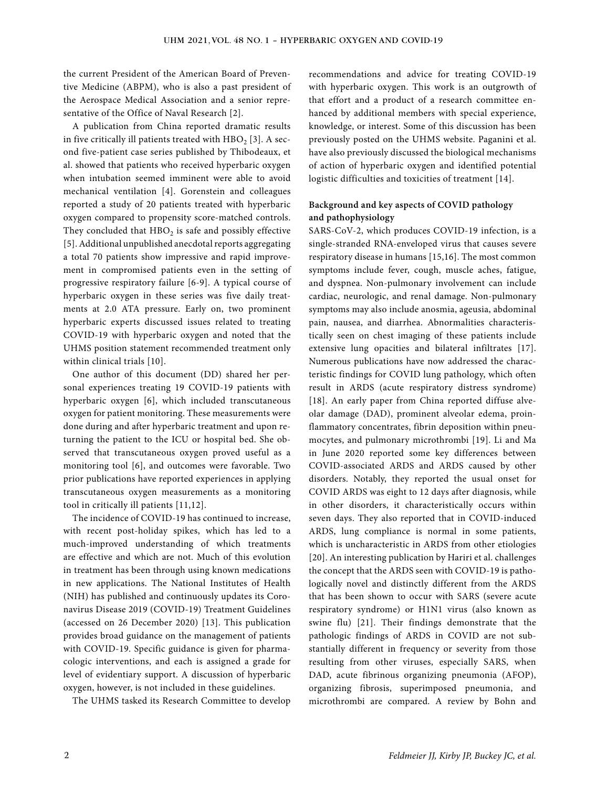the current President of the American Board of Preventive Medicine (ABPM), who is also a past president of the Aerospace Medical Association and a senior representative of the Office of Naval Research [2].

A publication from China reported dramatic results in five critically ill patients treated with  $HBO<sub>2</sub>$  [3]. A second five-patient case series published by Thibodeaux, et al. showed that patients who received hyperbaric oxygen when intubation seemed imminent were able to avoid mechanical ventilation [4]. Gorenstein and colleagues reported a study of 20 patients treated with hyperbaric oxygen compared to propensity score-matched controls. They concluded that  $HBO<sub>2</sub>$  is safe and possibly effective [5]. Additional unpublished anecdotal reports aggregating a total 70 patients show impressive and rapid improvement in compromised patients even in the setting of progressive respiratory failure [6-9]. A typical course of hyperbaric oxygen in these series was five daily treatments at 2.0 ATA pressure. Early on, two prominent hyperbaric experts discussed issues related to treating COVID-19 with hyperbaric oxygen and noted that the UHMS position statement recommended treatment only within clinical trials [10].

One author of this document (DD) shared her personal experiences treating 19 COVID-19 patients with hyperbaric oxygen [6], which included transcutaneous oxygen for patient monitoring. These measurements were done during and after hyperbaric treatment and upon returning the patient to the ICU or hospital bed. She observed that transcutaneous oxygen proved useful as a monitoring tool [6], and outcomes were favorable. Two prior publications have reported experiences in applying transcutaneous oxygen measurements as a monitoring tool in critically ill patients [11,12].

The incidence of COVID-19 has continued to increase, with recent post-holiday spikes, which has led to a much-improved understanding of which treatments are effective and which are not. Much of this evolution in treatment has been through using known medications in new applications. The National Institutes of Health (NIH) has published and continuously updates its Coronavirus Disease 2019 (COVID-19) Treatment Guidelines (accessed on 26 December 2020) [13]. This publication provides broad guidance on the management of patients with COVID-19. Specific guidance is given for pharmacologic interventions, and each is assigned a grade for level of evidentiary support. A discussion of hyperbaric oxygen, however, is not included in these guidelines.

The UHMS tasked its Research Committee to develop

recommendations and advice for treating COVID-19 with hyperbaric oxygen. This work is an outgrowth of that effort and a product of a research committee enhanced by additional members with special experience, knowledge, or interest. Some of this discussion has been previously posted on the UHMS website. Paganini et al. have also previously discussed the biological mechanisms of action of hyperbaric oxygen and identified potential logistic difficulties and toxicities of treatment [14].

### **Background and key aspects of COVID pathology and pathophysiology**

SARS-CoV-2, which produces COVID-19 infection, is a single-stranded RNA-enveloped virus that causes severe respiratory disease in humans [15,16]. The most common symptoms include fever, cough, muscle aches, fatigue, and dyspnea. Non-pulmonary involvement can include cardiac, neurologic, and renal damage. Non-pulmonary symptoms may also include anosmia, ageusia, abdominal pain, nausea, and diarrhea. Abnormalities characteristically seen on chest imaging of these patients include extensive lung opacities and bilateral infiltrates [17]. Numerous publications have now addressed the characteristic findings for COVID lung pathology, which often result in ARDS (acute respiratory distress syndrome) [18]. An early paper from China reported diffuse alveolar damage (DAD), prominent alveolar edema, proinflammatory concentrates, fibrin deposition within pneumocytes, and pulmonary microthrombi [19]. Li and Ma in June 2020 reported some key differences between COVID-associated ARDS and ARDS caused by other disorders. Notably, they reported the usual onset for COVID ARDS was eight to 12 days after diagnosis, while in other disorders, it characteristically occurs within seven days. They also reported that in COVID-induced ARDS, lung compliance is normal in some patients, which is uncharacteristic in ARDS from other etiologies [20]. An interesting publication by Hariri et al. challenges the concept that the ARDS seen with COVID-19 is pathologically novel and distinctly different from the ARDS that has been shown to occur with SARS (severe acute respiratory syndrome) or H1N1 virus (also known as swine flu) [21]. Their findings demonstrate that the pathologic findings of ARDS in COVID are not substantially different in frequency or severity from those resulting from other viruses, especially SARS, when DAD, acute fibrinous organizing pneumonia (AFOP), organizing fibrosis, superimposed pneumonia, and microthrombi are compared. A review by Bohn and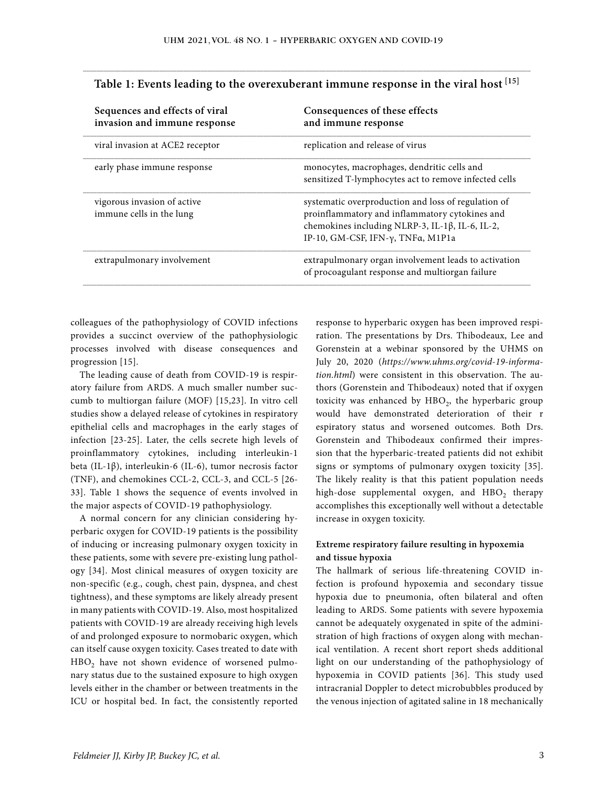| Sequences and effects of viral<br>invasion and immune response | Consequences of these effects<br>and immune response                                                                                                                                                   |
|----------------------------------------------------------------|--------------------------------------------------------------------------------------------------------------------------------------------------------------------------------------------------------|
| viral invasion at ACE2 receptor                                | replication and release of virus                                                                                                                                                                       |
| early phase immune response                                    | monocytes, macrophages, dendritic cells and<br>sensitized T-lymphocytes act to remove infected cells                                                                                                   |
| vigorous invasion of active<br>immune cells in the lung        | systematic overproduction and loss of regulation of<br>proinflammatory and inflammatory cytokines and<br>chemokines including NLRP-3, IL-1β, IL-6, IL-2,<br>IP-10, GM-CSF, IFN- $\gamma$ , TNFa, M1P1a |
| extrapulmonary involvement                                     | extrapulmonary organ involvement leads to activation<br>of procoagulant response and multiorgan failure                                                                                                |

# \_\_\_\_\_\_\_\_\_\_\_\_\_\_\_\_\_\_\_\_\_\_\_\_\_\_\_\_\_\_\_\_\_\_\_\_\_\_\_\_\_\_\_\_\_\_\_\_\_\_\_\_\_\_\_\_\_\_\_\_\_\_\_\_\_\_\_\_\_\_\_\_\_\_\_\_\_\_\_\_\_\_\_\_\_\_\_\_\_\_\_\_\_\_\_\_\_\_\_\_\_\_\_\_\_\_\_\_\_\_\_\_\_\_\_\_\_\_\_\_\_\_\_\_\_\_\_\_\_ **Table 1: Events leading to the overexuberant immune response in the viral host [15]**

colleagues of the pathophysiology of COVID infections provides a succinct overview of the pathophysiologic processes involved with disease consequences and progression [15].

The leading cause of death from COVID-19 is respiratory failure from ARDS. A much smaller number succumb to multiorgan failure (MOF) [15,23]. In vitro cell studies show a delayed release of cytokines in respiratory epithelial cells and macrophages in the early stages of infection [23-25]. Later, the cells secrete high levels of proinflammatory cytokines, including interleukin-1 beta (IL-1β), interleukin-6 (IL-6), tumor necrosis factor (TNF), and chemokines CCL-2, CCL-3, and CCL-5 [26- 33]. Table 1 shows the sequence of events involved in the major aspects of COVID-19 pathophysiology.

A normal concern for any clinician considering hyperbaric oxygen for COVID-19 patients is the possibility of inducing or increasing pulmonary oxygen toxicity in these patients, some with severe pre-existing lung pathology [34]. Most clinical measures of oxygen toxicity are non-specific (e.g., cough, chest pain, dyspnea, and chest tightness), and these symptoms are likely already present in many patients with COVID-19. Also, most hospitalized patients with COVID-19 are already receiving high levels of and prolonged exposure to normobaric oxygen, which can itself cause oxygen toxicity. Cases treated to date with HBO<sub>2</sub> have not shown evidence of worsened pulmonary status due to the sustained exposure to high oxygen levels either in the chamber or between treatments in the ICU or hospital bed. In fact, the consistently reported response to hyperbaric oxygen has been improved respiration. The presentations by Drs. Thibodeaux, Lee and Gorenstein at a webinar sponsored by the UHMS on July 20, 2020 (*https://www.uhms.org/covid-19-information.html*) were consistent in this observation. The authors (Gorenstein and Thibodeaux) noted that if oxygen toxicity was enhanced by  $HBO<sub>2</sub>$ , the hyperbaric group would have demonstrated deterioration of their r espiratory status and worsened outcomes. Both Drs. Gorenstein and Thibodeaux confirmed their impression that the hyperbaric-treated patients did not exhibit signs or symptoms of pulmonary oxygen toxicity [35]. The likely reality is that this patient population needs high-dose supplemental oxygen, and HBO<sub>2</sub> therapy accomplishes this exceptionally well without a detectable increase in oxygen toxicity.

# **Extreme respiratory failure resulting in hypoxemia and tissue hypoxia**

The hallmark of serious life-threatening COVID infection is profound hypoxemia and secondary tissue hypoxia due to pneumonia, often bilateral and often leading to ARDS. Some patients with severe hypoxemia cannot be adequately oxygenated in spite of the administration of high fractions of oxygen along with mechanical ventilation. A recent short report sheds additional light on our understanding of the pathophysiology of hypoxemia in COVID patients [36]. This study used intracranial Doppler to detect microbubbles produced by the venous injection of agitated saline in 18 mechanically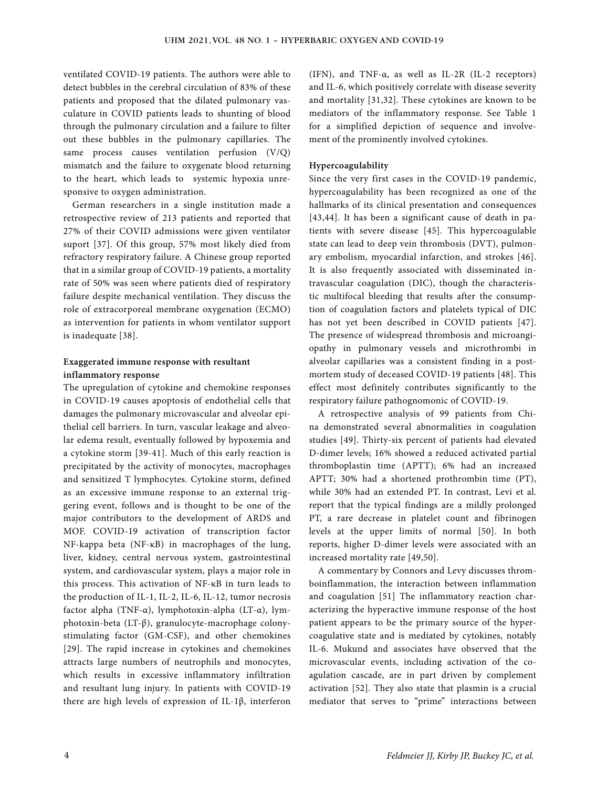ventilated COVID-19 patients. The authors were able to detect bubbles in the cerebral circulation of 83% of these patients and proposed that the dilated pulmonary vasculature in COVID patients leads to shunting of blood through the pulmonary circulation and a failure to filter out these bubbles in the pulmonary capillaries. The same process causes ventilation perfusion (V/Q) mismatch and the failure to oxygenate blood returning to the heart, which leads to systemic hypoxia unresponsive to oxygen administration.

German researchers in a single institution made a retrospective review of 213 patients and reported that 27% of their COVID admissions were given ventilator suport [37]. Of this group, 57% most likely died from refractory respiratory failure. A Chinese group reported that in a similar group of COVID-19 patients, a mortality rate of 50% was seen where patients died of respiratory failure despite mechanical ventilation. They discuss the role of extracorporeal membrane oxygenation (ECMO) as intervention for patients in whom ventilator support is inadequate [38].

#### **Exaggerated immune response with resultant inflammatory response**

The upregulation of cytokine and chemokine responses in COVID-19 causes apoptosis of endothelial cells that damages the pulmonary microvascular and alveolar epithelial cell barriers. In turn, vascular leakage and alveolar edema result, eventually followed by hypoxemia and a cytokine storm [39-41]. Much of this early reaction is precipitated by the activity of monocytes, macrophages and sensitized T lymphocytes. Cytokine storm, defined as an excessive immune response to an external triggering event, follows and is thought to be one of the major contributors to the development of ARDS and MOF. COVID-19 activation of transcription factor NF-kappa beta (NF-κB) in macrophages of the lung, liver, kidney, central nervous system, gastrointestinal system, and cardiovascular system, plays a major role in this process. This activation of NF-κB in turn leads to the production of IL-1, IL-2, IL-6, IL-12, tumor necrosis factor alpha (TNF-α), lymphotoxin-alpha (LT-α), lymphotoxin-beta (LT-β), granulocyte-macrophage colonystimulating factor (GM-CSF), and other chemokines [29]. The rapid increase in cytokines and chemokines attracts large numbers of neutrophils and monocytes, which results in excessive inflammatory infiltration and resultant lung injury. In patients with COVID-19 there are high levels of expression of IL-1β, interferon (IFN), and TNF-α, as well as IL-2R (IL-2 receptors) and IL-6, which positively correlate with disease severity and mortality [31,32]. These cytokines are known to be mediators of the inflammatory response. See Table 1 for a simplified depiction of sequence and involvement of the prominently involved cytokines.

#### **Hypercoagulability**

Since the very first cases in the COVID-19 pandemic, hypercoagulability has been recognized as one of the hallmarks of its clinical presentation and consequences [43,44]. It has been a significant cause of death in patients with severe disease [45]. This hypercoagulable state can lead to deep vein thrombosis (DVT), pulmonary embolism, myocardial infarction, and strokes [46]. It is also frequently associated with disseminated intravascular coagulation (DIC), though the characteristic multifocal bleeding that results after the consumption of coagulation factors and platelets typical of DIC has not yet been described in COVID patients [47]. The presence of widespread thrombosis and microangiopathy in pulmonary vessels and microthrombi in alveolar capillaries was a consistent finding in a postmortem study of deceased COVID-19 patients [48]. This effect most definitely contributes significantly to the respiratory failure pathognomonic of COVID-19.

A retrospective analysis of 99 patients from China demonstrated several abnormalities in coagulation studies [49]. Thirty-six percent of patients had elevated D-dimer levels; 16% showed a reduced activated partial thromboplastin time (APTT); 6% had an increased APTT; 30% had a shortened prothrombin time (PT), while 30% had an extended PT. In contrast, Levi et al. report that the typical findings are a mildly prolonged PT, a rare decrease in platelet count and fibrinogen levels at the upper limits of normal [50]. In both reports, higher D-dimer levels were associated with an increased mortality rate [49,50].

A commentary by Connors and Levy discusses thromboinflammation, the interaction between inflammation and coagulation [51] The inflammatory reaction characterizing the hyperactive immune response of the host patient appears to be the primary source of the hypercoagulative state and is mediated by cytokines, notably IL-6. Mukund and associates have observed that the microvascular events, including activation of the coagulation cascade, are in part driven by complement activation [52]. They also state that plasmin is a crucial mediator that serves to "prime" interactions between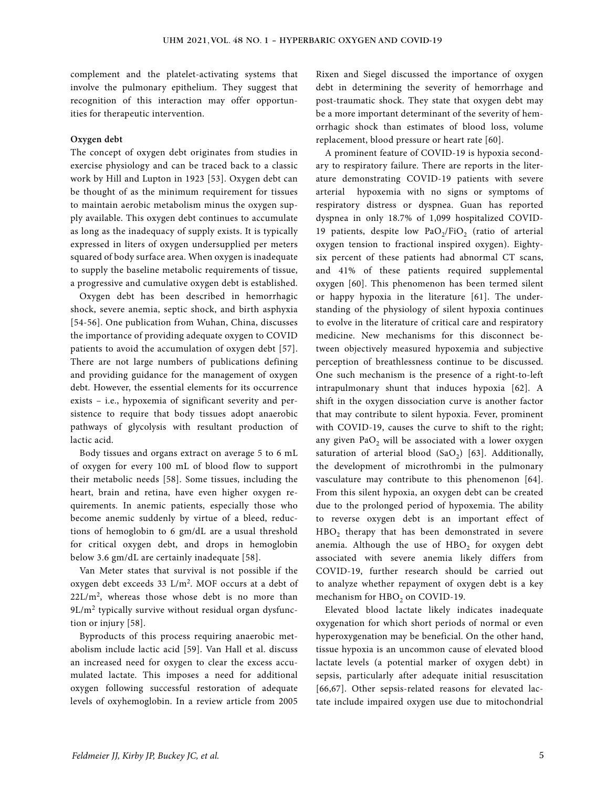complement and the platelet-activating systems that involve the pulmonary epithelium. They suggest that recognition of this interaction may offer opportunities for therapeutic intervention.

#### **Oxygen debt**

The concept of oxygen debt originates from studies in exercise physiology and can be traced back to a classic work by Hill and Lupton in 1923 [53]. Oxygen debt can be thought of as the minimum requirement for tissues to maintain aerobic metabolism minus the oxygen supply available. This oxygen debt continues to accumulate as long as the inadequacy of supply exists. It is typically expressed in liters of oxygen undersupplied per meters squared of body surface area. When oxygen is inadequate to supply the baseline metabolic requirements of tissue, a progressive and cumulative oxygen debt is established.

Oxygen debt has been described in hemorrhagic shock, severe anemia, septic shock, and birth asphyxia [54-56]. One publication from Wuhan, China, discusses the importance of providing adequate oxygen to COVID patients to avoid the accumulation of oxygen debt [57]. There are not large numbers of publications defining and providing guidance for the management of oxygen debt. However, the essential elements for its occurrence exists – i.e., hypoxemia of significant severity and persistence to require that body tissues adopt anaerobic pathways of glycolysis with resultant production of lactic acid.

Body tissues and organs extract on average 5 to 6 mL of oxygen for every 100 mL of blood flow to support their metabolic needs [58]. Some tissues, including the heart, brain and retina, have even higher oxygen requirements. In anemic patients, especially those who become anemic suddenly by virtue of a bleed, reductions of hemoglobin to 6 gm/dL are a usual threshold for critical oxygen debt, and drops in hemoglobin below 3.6 gm/dL are certainly inadequate [58].

Van Meter states that survival is not possible if the oxygen debt exceeds 33 L/m2. MOF occurs at a debt of  $22L/m<sup>2</sup>$ , whereas those whose debt is no more than 9L/m<sup>2</sup> typically survive without residual organ dysfunction or injury [58].

Byproducts of this process requiring anaerobic metabolism include lactic acid [59]. Van Hall et al. discuss an increased need for oxygen to clear the excess accumulated lactate. This imposes a need for additional oxygen following successful restoration of adequate levels of oxyhemoglobin. In a review article from 2005 Rixen and Siegel discussed the importance of oxygen debt in determining the severity of hemorrhage and post-traumatic shock. They state that oxygen debt may be a more important determinant of the severity of hemorrhagic shock than estimates of blood loss, volume replacement, blood pressure or heart rate [60].

A prominent feature of COVID-19 is hypoxia secondary to respiratory failure. There are reports in the literature demonstrating COVID-19 patients with severe arterial hypoxemia with no signs or symptoms of respiratory distress or dyspnea. Guan has reported dyspnea in only 18.7% of 1,099 hospitalized COVID-19 patients, despite low  $PaO<sub>2</sub>/FiO<sub>2</sub>$  (ratio of arterial oxygen tension to fractional inspired oxygen). Eightysix percent of these patients had abnormal CT scans, and 41% of these patients required supplemental oxygen [60]. This phenomenon has been termed silent or happy hypoxia in the literature [61]. The understanding of the physiology of silent hypoxia continues to evolve in the literature of critical care and respiratory medicine. New mechanisms for this disconnect between objectively measured hypoxemia and subjective perception of breathlessness continue to be discussed. One such mechanism is the presence of a right-to-left intrapulmonary shunt that induces hypoxia [62]. A shift in the oxygen dissociation curve is another factor that may contribute to silent hypoxia. Fever, prominent with COVID-19, causes the curve to shift to the right; any given  $PaO<sub>2</sub>$  will be associated with a lower oxygen saturation of arterial blood  $(SaO<sub>2</sub>)$  [63]. Additionally, the development of microthrombi in the pulmonary vasculature may contribute to this phenomenon [64]. From this silent hypoxia, an oxygen debt can be created due to the prolonged period of hypoxemia. The ability to reverse oxygen debt is an important effect of HBO<sub>2</sub> therapy that has been demonstrated in severe anemia. Although the use of  $HBO<sub>2</sub>$  for oxygen debt associated with severe anemia likely differs from COVID-19, further research should be carried out to analyze whether repayment of oxygen debt is a key mechanism for HBO<sub>2</sub> on COVID-19.

Elevated blood lactate likely indicates inadequate oxygenation for which short periods of normal or even hyperoxygenation may be beneficial. On the other hand, tissue hypoxia is an uncommon cause of elevated blood lactate levels (a potential marker of oxygen debt) in sepsis, particularly after adequate initial resuscitation [66,67]. Other sepsis-related reasons for elevated lactate include impaired oxygen use due to mitochondrial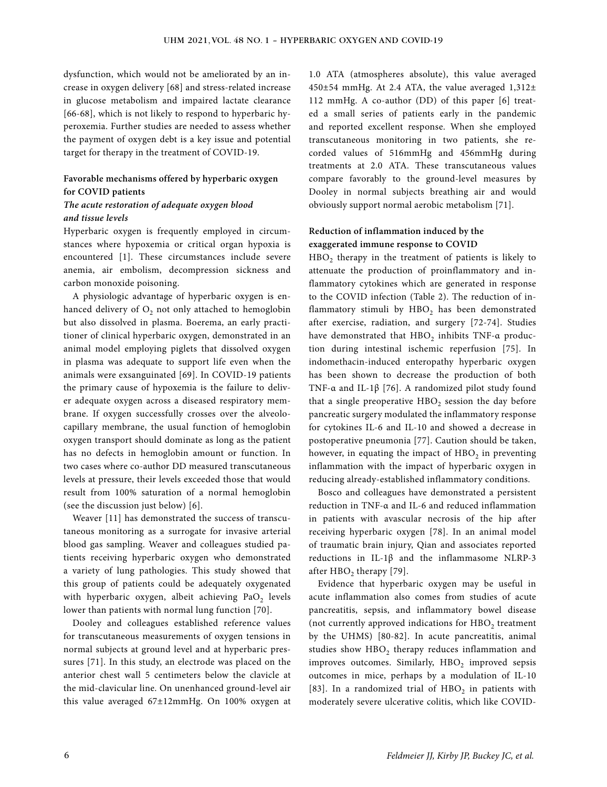dysfunction, which would not be ameliorated by an increase in oxygen delivery [68] and stress-related increase in glucose metabolism and impaired lactate clearance [66-68], which is not likely to respond to hyperbaric hyperoxemia. Further studies are needed to assess whether the payment of oxygen debt is a key issue and potential target for therapy in the treatment of COVID-19.

## **Favorable mechanisms offered by hyperbaric oxygen for COVID patients**

### *The acute restoration of adequate oxygen blood and tissue levels*

Hyperbaric oxygen is frequently employed in circumstances where hypoxemia or critical organ hypoxia is encountered [1]. These circumstances include severe anemia, air embolism, decompression sickness and carbon monoxide poisoning.

A physiologic advantage of hyperbaric oxygen is enhanced delivery of  $O_2$  not only attached to hemoglobin but also dissolved in plasma. Boerema, an early practitioner of clinical hyperbaric oxygen, demonstrated in an animal model employing piglets that dissolved oxygen in plasma was adequate to support life even when the animals were exsanguinated [69]. In COVID-19 patients the primary cause of hypoxemia is the failure to deliver adequate oxygen across a diseased respiratory membrane. If oxygen successfully crosses over the alveolocapillary membrane, the usual function of hemoglobin oxygen transport should dominate as long as the patient has no defects in hemoglobin amount or function. In two cases where co-author DD measured transcutaneous levels at pressure, their levels exceeded those that would result from 100% saturation of a normal hemoglobin (see the discussion just below) [6].

Weaver [11] has demonstrated the success of transcutaneous monitoring as a surrogate for invasive arterial blood gas sampling. Weaver and colleagues studied patients receiving hyperbaric oxygen who demonstrated a variety of lung pathologies. This study showed that this group of patients could be adequately oxygenated with hyperbaric oxygen, albeit achieving  $PaO<sub>2</sub>$  levels lower than patients with normal lung function [70].

Dooley and colleagues established reference values for transcutaneous measurements of oxygen tensions in normal subjects at ground level and at hyperbaric pressures [71]. In this study, an electrode was placed on the anterior chest wall 5 centimeters below the clavicle at the mid-clavicular line. On unenhanced ground-level air this value averaged 67±12mmHg. On 100% oxygen at

1.0 ATA (atmospheres absolute), this value averaged 450±54 mmHg. At 2.4 ATA, the value averaged 1,312± 112 mmHg. A co-author (DD) of this paper [6] treated a small series of patients early in the pandemic and reported excellent response. When she employed transcutaneous monitoring in two patients, she recorded values of 516mmHg and 456mmHg during treatments at 2.0 ATA. These transcutaneous values compare favorably to the ground-level measures by Dooley in normal subjects breathing air and would obviously support normal aerobic metabolism [71].

## **Reduction of inflammation induced by the exaggerated immune response to COVID**

 $HBO<sub>2</sub>$  therapy in the treatment of patients is likely to attenuate the production of proinflammatory and inflammatory cytokines which are generated in response to the COVID infection (Table 2). The reduction of inflammatory stimuli by  $HBO<sub>2</sub>$  has been demonstrated after exercise, radiation, and surgery [72-74]. Studies have demonstrated that  $HBO<sub>2</sub>$  inhibits TNF- $\alpha$  production during intestinal ischemic reperfusion [75]. In indomethacin-induced enteropathy hyperbaric oxygen has been shown to decrease the production of both TNF-α and IL-1β [76]. A randomized pilot study found that a single preoperative  $HBO<sub>2</sub>$  session the day before pancreatic surgery modulated the inflammatory response for cytokines IL-6 and IL-10 and showed a decrease in postoperative pneumonia [77]. Caution should be taken, however, in equating the impact of  $HBO<sub>2</sub>$  in preventing inflammation with the impact of hyperbaric oxygen in reducing already-established inflammatory conditions.

Bosco and colleagues have demonstrated a persistent reduction in TNF-α and IL-6 and reduced inflammation in patients with avascular necrosis of the hip after receiving hyperbaric oxygen [78]. In an animal model of traumatic brain injury, Qian and associates reported reductions in IL-1β and the inflammasome NLRP-3 after HBO<sub>2</sub> therapy [79].

Evidence that hyperbaric oxygen may be useful in acute inflammation also comes from studies of acute pancreatitis, sepsis, and inflammatory bowel disease (not currently approved indications for  $HBO<sub>2</sub>$  treatment by the UHMS) [80-82]. In acute pancreatitis, animal studies show  $HBO<sub>2</sub>$  therapy reduces inflammation and improves outcomes. Similarly,  $HBO<sub>2</sub>$  improved sepsis outcomes in mice, perhaps by a modulation of IL-10 [83]. In a randomized trial of  $HBO<sub>2</sub>$  in patients with moderately severe ulcerative colitis, which like COVID-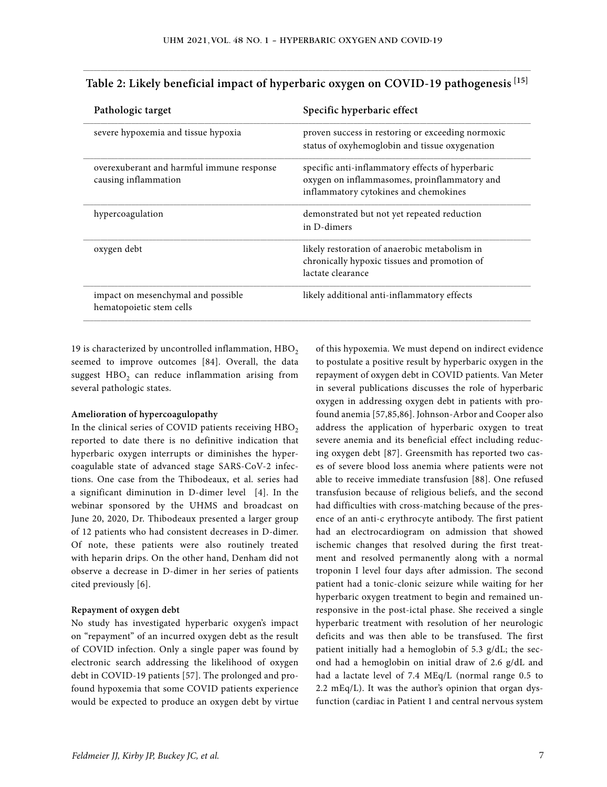| Specific hyperbaric effect                                                                                                                |
|-------------------------------------------------------------------------------------------------------------------------------------------|
| proven success in restoring or exceeding normoxic<br>status of oxyhemoglobin and tissue oxygenation                                       |
| specific anti-inflammatory effects of hyperbaric<br>oxygen on inflammasomes, proinflammatory and<br>inflammatory cytokines and chemokines |
| demonstrated but not yet repeated reduction<br>in D-dimers                                                                                |
| likely restoration of anaerobic metabolism in<br>chronically hypoxic tissues and promotion of<br>lactate clearance                        |
| likely additional anti-inflammatory effects                                                                                               |
|                                                                                                                                           |

# \_\_\_\_\_\_\_\_\_\_\_\_\_\_\_\_\_\_\_\_\_\_\_\_\_\_\_\_\_\_\_\_\_\_\_\_\_\_\_\_\_\_\_\_\_\_\_\_\_\_\_\_\_\_\_\_\_\_\_\_\_\_\_\_\_\_\_\_\_\_\_\_\_\_\_\_\_\_\_\_\_\_\_\_\_\_\_\_\_\_\_\_\_\_\_\_\_\_\_\_\_\_\_\_\_\_\_\_\_\_\_\_\_\_\_\_\_\_\_\_\_\_\_\_\_\_\_\_\_ **Table 2: Likely beneficial impact of hyperbaric oxygen on COVID-19 pathogenesis [15]**

19 is characterized by uncontrolled inflammation,  $HBO<sub>2</sub>$ seemed to improve outcomes [84]. Overall, the data suggest  $HBO<sub>2</sub>$  can reduce inflammation arising from several pathologic states.

#### **Amelioration of hypercoagulopathy**

In the clinical series of COVID patients receiving  $HBO<sub>2</sub>$ reported to date there is no definitive indication that hyperbaric oxygen interrupts or diminishes the hypercoagulable state of advanced stage SARS-CoV-2 infections. One case from the Thibodeaux, et al. series had a significant diminution in D-dimer level [4]. In the webinar sponsored by the UHMS and broadcast on June 20, 2020, Dr. Thibodeaux presented a larger group of 12 patients who had consistent decreases in D-dimer. Of note, these patients were also routinely treated with heparin drips. On the other hand, Denham did not observe a decrease in D-dimer in her series of patients cited previously [6].

#### **Repayment of oxygen debt**

No study has investigated hyperbaric oxygen's impact on "repayment" of an incurred oxygen debt as the result of COVID infection. Only a single paper was found by electronic search addressing the likelihood of oxygen debt in COVID-19 patients [57]. The prolonged and profound hypoxemia that some COVID patients experience would be expected to produce an oxygen debt by virtue of this hypoxemia. We must depend on indirect evidence to postulate a positive result by hyperbaric oxygen in the repayment of oxygen debt in COVID patients. Van Meter in several publications discusses the role of hyperbaric oxygen in addressing oxygen debt in patients with profound anemia [57,85,86]. Johnson-Arbor and Cooper also address the application of hyperbaric oxygen to treat severe anemia and its beneficial effect including reducing oxygen debt [87]. Greensmith has reported two cases of severe blood loss anemia where patients were not able to receive immediate transfusion [88]. One refused transfusion because of religious beliefs, and the second had difficulties with cross-matching because of the presence of an anti-c erythrocyte antibody. The first patient had an electrocardiogram on admission that showed ischemic changes that resolved during the first treatment and resolved permanently along with a normal troponin I level four days after admission. The second patient had a tonic-clonic seizure while waiting for her hyperbaric oxygen treatment to begin and remained unresponsive in the post-ictal phase. She received a single hyperbaric treatment with resolution of her neurologic deficits and was then able to be transfused. The first patient initially had a hemoglobin of 5.3 g/dL; the second had a hemoglobin on initial draw of 2.6 g/dL and had a lactate level of 7.4 MEq/L (normal range 0.5 to 2.2 mEq/L). It was the author's opinion that organ dysfunction (cardiac in Patient 1 and central nervous system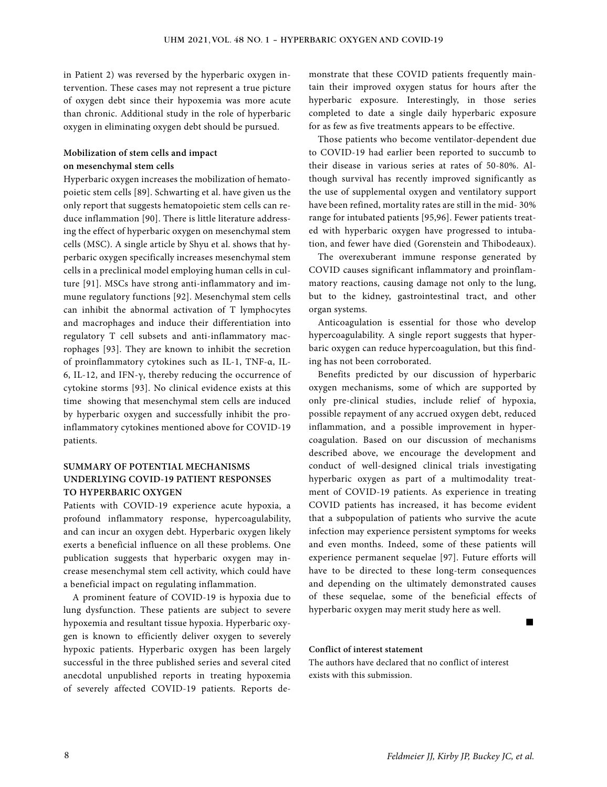in Patient 2) was reversed by the hyperbaric oxygen intervention. These cases may not represent a true picture of oxygen debt since their hypoxemia was more acute than chronic. Additional study in the role of hyperbaric oxygen in eliminating oxygen debt should be pursued.

## **Mobilization of stem cells and impact on mesenchymal stem cells**

Hyperbaric oxygen increases the mobilization of hematopoietic stem cells [89]. Schwarting et al. have given us the only report that suggests hematopoietic stem cells can reduce inflammation [90]. There is little literature addressing the effect of hyperbaric oxygen on mesenchymal stem cells (MSC). A single article by Shyu et al. shows that hyperbaric oxygen specifically increases mesenchymal stem cells in a preclinical model employing human cells in culture [91]. MSCs have strong anti-inflammatory and immune regulatory functions [92]. Mesenchymal stem cells can inhibit the abnormal activation of T lymphocytes and macrophages and induce their differentiation into regulatory T cell subsets and anti-inflammatory macrophages [93]. They are known to inhibit the secretion of proinflammatory cytokines such as IL-1, TNF-α, IL-6, IL-12, and IFN-γ, thereby reducing the occurrence of cytokine storms [93]. No clinical evidence exists at this time showing that mesenchymal stem cells are induced by hyperbaric oxygen and successfully inhibit the proinflammatory cytokines mentioned above for COVID-19 patients.

# **SUMMARY OF POTENTIAL MECHANISMS UNDERLYING COVID-19 PATIENT RESPONSES TO HYPERBARIC OXYGEN**

Patients with COVID-19 experience acute hypoxia, a profound inflammatory response, hypercoagulability, and can incur an oxygen debt. Hyperbaric oxygen likely exerts a beneficial influence on all these problems. One publication suggests that hyperbaric oxygen may increase mesenchymal stem cell activity, which could have a beneficial impact on regulating inflammation.

A prominent feature of COVID-19 is hypoxia due to lung dysfunction. These patients are subject to severe hypoxemia and resultant tissue hypoxia. Hyperbaric oxygen is known to efficiently deliver oxygen to severely hypoxic patients. Hyperbaric oxygen has been largely successful in the three published series and several cited anecdotal unpublished reports in treating hypoxemia of severely affected COVID-19 patients. Reports demonstrate that these COVID patients frequently maintain their improved oxygen status for hours after the hyperbaric exposure. Interestingly, in those series completed to date a single daily hyperbaric exposure for as few as five treatments appears to be effective.

Those patients who become ventilator-dependent due to COVID-19 had earlier been reported to succumb to their disease in various series at rates of 50-80%. Although survival has recently improved significantly as the use of supplemental oxygen and ventilatory support have been refined, mortality rates are still in the mid- 30% range for intubated patients [95,96]. Fewer patients treated with hyperbaric oxygen have progressed to intubation, and fewer have died (Gorenstein and Thibodeaux).

The overexuberant immune response generated by COVID causes significant inflammatory and proinflammatory reactions, causing damage not only to the lung, but to the kidney, gastrointestinal tract, and other organ systems.

Anticoagulation is essential for those who develop hypercoagulability. A single report suggests that hyperbaric oxygen can reduce hypercoagulation, but this finding has not been corroborated.

Benefits predicted by our discussion of hyperbaric oxygen mechanisms, some of which are supported by only pre-clinical studies, include relief of hypoxia, possible repayment of any accrued oxygen debt, reduced inflammation, and a possible improvement in hypercoagulation. Based on our discussion of mechanisms described above, we encourage the development and conduct of well-designed clinical trials investigating hyperbaric oxygen as part of a multimodality treatment of COVID-19 patients. As experience in treating COVID patients has increased, it has become evident that a subpopulation of patients who survive the acute infection may experience persistent symptoms for weeks and even months. Indeed, some of these patients will experience permanent sequelae [97]. Future efforts will have to be directed to these long-term consequences and depending on the ultimately demonstrated causes of these sequelae, some of the beneficial effects of hyperbaric oxygen may merit study here as well.

#### **Conflict of interest statement**

The authors have declared that no conflict of interest exists with this submission.

not be a state of the state of the state of the state of the state of the state of the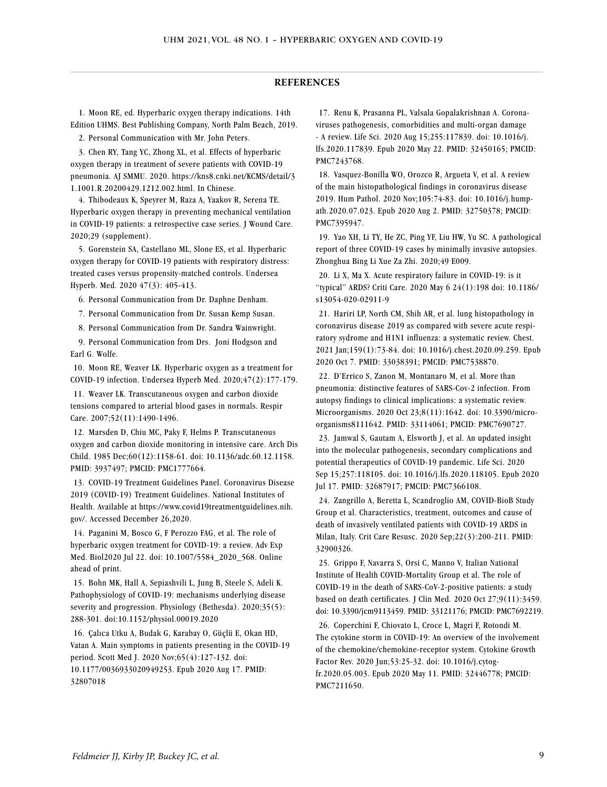#### $\_$  , and the state of the state of the state of the state of the state of the state of the state of the state of the state of the state of the state of the state of the state of the state of the state of the state of the **REFERENCES**

 1. Moon RE, ed. Hyperbaric oxygen therapy indications. 14th Edition UHMS. Best Publishing Company, North Palm Beach, 2019.

2. Personal Communication with Mr. John Peters.

 3. Chen RY, Tang YC, Zhong XL, et al. Effects of hyperbaric oxygen therapy in treatment of severe patients with COVID-19 pneumonia. AJ SMMU. 2020. https://kns8.cnki.net/KCMS/detail/3 1.1001.R.20200429.1212.002.html. In Chinese.

 4. Thibodeaux K, Speyrer M, Raza A, Yaakov R, Serena TE. Hyperbaric oxygen therapy in preventing mechanical ventilation in COVID-19 patients: a retrospective case series. J Wound Care. 2020;29 (supplement).

 5. Gorenstein SA, Castellano ML, Slone ES, et al. Hyperbaric oxygen therapy for COVID-19 patients with respiratory distress: treated cases versus propensity-matched controls. Undersea Hyperb. Med. 2020 47(3): 405-413.

6. Personal Communication from Dr. Daphne Denham.

7. Personal Communication from Dr. Susan Kemp Susan.

8. Personal Communication from Dr. Sandra Wainwright.

 9. Personal Communication from Drs. Joni Hodgson and Earl G. Wolfe.

10. Moon RE, Weaver LK. Hyperbaric oxygen as a treatment for COVID-19 infection. Undersea Hyperb Med. 2020;47(2):177-179.

11. Weaver LK. Transcutaneous oxygen and carbon dioxide tensions compared to arterial blood gases in normals. Respir Care. 2007;52(11):1490-1496.

12. Marsden D, Chiu MC, Paky F, Helms P. Transcutaneous oxygen and carbon dioxide monitoring in intensive care. Arch Dis Child. 1985 Dec;60(12):1158-61. doi: 10.1136/adc.60.12.1158. PMID: 3937497; PMCID: PMC1777664.

13. COVID-19 Treatment Guidelines Panel. Coronavirus Disease 2019 (COVID-19) Treatment Guidelines. National Institutes of Health. Available at https://www.covid19treatmentguidelines.nih. gov/. Accessed December 26,2020.

14. Paganini M, Bosco G, F Perozzo FAG, et al. The role of hyperbaric oxygen treatment for COVID-19: a review. Adv Exp Med. Biol2020 Jul 22. doi: 10.1007/5584\_2020\_568. Online ahead of print.

15. Bohn MK, Hall A, Sepiashvili L, Jung B, Steele S, Adeli K. Pathophysiology of COVID-19: mechanisms underlying disease severity and progression. Physiology (Bethesda). 2020;35(5): 288-301. doi:10.1152/physiol.00019.2020

16. Çalıca Utku A, Budak G, Karabay O, Güçlü E, Okan HD, Vatan A. Main symptoms in patients presenting in the COVID-19 period. Scott Med J. 2020 Nov;65(4):127-132. doi: 10.1177/0036933020949253. Epub 2020 Aug 17. PMID: 32807018

17. Renu K, Prasanna PL, Valsala Gopalakrishnan A. Coronaviruses pathogenesis, comorbidities and multi-organ damage - A review. Life Sci. 2020 Aug 15;255:117839. doi: 10.1016/j. lfs.2020.117839. Epub 2020 May 22. PMID: 32450165; PMCID: PMC7243768.

18. Vasquez-Bonilla WO, Orozco R, Argueta V, et al. A review of the main histopathological findings in coronavirus disease 2019. Hum Pathol. 2020 Nov;105:74-83. doi: 10.1016/j.humpath.2020.07.023. Epub 2020 Aug 2. PMID: 32750378; PMCID: PMC7395947.

19. Yao XH, Li TY, He ZC, Ping YF, Liu HW, Yu SC. A pathological report of three COVID-19 cases by minimally invasive autopsies. Zhonghua Bing Li Xue Za Zhi. 2020;49 E009.

20. Li X, Ma X. Acute respiratory failure in COVID-19: is it "typical" ARDS? Criti Care. 2020 May 6 24(1):198 doi: 10.1186/ s13054-020-02911-9

21. Hariri LP, North CM, Shih AR, et al. lung histopathology in coronavirus disease 2019 as compared with severe acute respiratory sydrome and H1N1 influenza: a systematic review. Chest. 2021 Jan;159(1):73-84. doi: 10.1016/j.chest.2020.09.259. Epub 2020 Oct 7. PMID: 33038391; PMCID: PMC7538870.

22. D'Errico S, Zanon M, Montanaro M, et al. More than pneumonia: distinctive features of SARS-Cov-2 infection. From autopsy findings to clinical implications: a systematic review. Microorganisms. 2020 Oct 23;8(11):1642. doi: 10.3390/microorganisms8111642. PMID: 33114061; PMCID: PMC7690727.

23. Jamwal S, Gautam A, Elsworth J, et al. An updated insight into the molecular pathogenesis, secondary complications and potential therapeutics of COVID-19 pandemic. Life Sci. 2020 Sep 15;257:118105. doi: 10.1016/j.lfs.2020.118105. Epub 2020 Jul 17. PMID: 32687917; PMCID: PMC7366108.

24. Zangrillo A, Beretta L, Scandroglio AM, COVID-BioB Study Group et al. Characteristics, treatment, outcomes and cause of death of invasively ventilated patients with COVID-19 ARDS in Milan, Italy. Crit Care Resusc. 2020 Sep;22(3):200-211. PMID: 32900326.

25. Grippo F, Navarra S, Orsi C, Manno V, Italian National Institute of Health COVID-Mortality Group et al. The role of COVID-19 in the death of SARS-CoV-2-positive patients: a study based on death certificates. J Clin Med. 2020 Oct 27;9(11):3459. doi: 10.3390/jcm9113459. PMID: 33121176; PMCID: PMC7692219.

26. Coperchini F, Chiovato L, Croce L, Magri F, Rotondi M. The cytokine storm in COVID-19: An overview of the involvement of the chemokine/chemokine-receptor system. Cytokine Growth Factor Rev. 2020 Jun;53:25-32. doi: 10.1016/j.cytogfr.2020.05.003. Epub 2020 May 11. PMID: 32446778; PMCID: PMC7211650.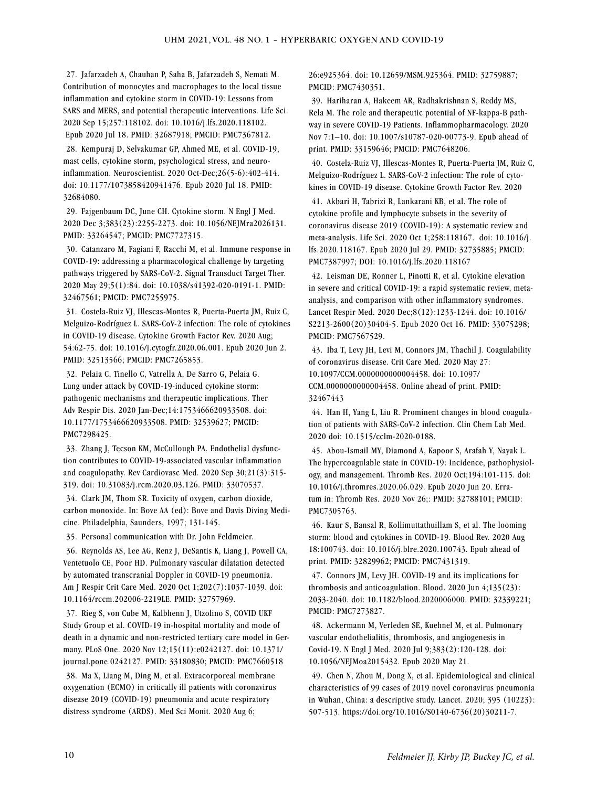27. Jafarzadeh A, Chauhan P, Saha B, Jafarzadeh S, Nemati M. Contribution of monocytes and macrophages to the local tissue inflammation and cytokine storm in COVID-19: Lessons from SARS and MERS, and potential therapeutic interventions. Life Sci. 2020 Sep 15;257:118102. doi: 10.1016/j.lfs.2020.118102. Epub 2020 Jul 18. PMID: 32687918; PMCID: PMC7367812.

28. Kempuraj D, Selvakumar GP, Ahmed ME, et al. COVID-19, mast cells, cytokine storm, psychological stress, and neuroinflammation. Neuroscientist. 2020 Oct-Dec;26(5-6):402-414. doi: 10.1177/1073858420941476. Epub 2020 Jul 18. PMID: 32684080.

29. Fajgenbaum DC, June CH. Cytokine storm. N Engl J Med. 2020 Dec 3;383(23):2255-2273. doi: 10.1056/NEJMra2026131. PMID: 33264547; PMCID: PMC7727315.

30. Catanzaro M, Fagiani F, Racchi M, et al. Immune response in COVID-19: addressing a pharmacological challenge by targeting pathways triggered by SARS-CoV-2. Signal Transduct Target Ther. 2020 May 29;5(1):84. doi: 10.1038/s41392-020-0191-1. PMID: 32467561; PMCID: PMC7255975.

31. Costela-Ruiz VJ, Illescas-Montes R, Puerta-Puerta JM, Ruiz C, Melguizo-Rodríguez L. SARS-CoV-2 infection: The role of cytokines in COVID-19 disease. Cytokine Growth Factor Rev. 2020 Aug; 54:62-75. doi: 10.1016/j.cytogfr.2020.06.001. Epub 2020 Jun 2. PMID: 32513566; PMCID: PMC7265853.

32. Pelaia C, Tinello C, Vatrella A, De Sarro G, Pelaia G. Lung under attack by COVID-19-induced cytokine storm: pathogenic mechanisms and therapeutic implications. Ther Adv Respir Dis. 2020 Jan-Dec;14:1753466620933508. doi: 10.1177/1753466620933508. PMID: 32539627; PMCID: PMC7298425.

33. Zhang J, Tecson KM, McCullough PA. Endothelial dysfunction contributes to COVID-19-associated vascular inflammation and coagulopathy. Rev Cardiovasc Med. 2020 Sep 30;21(3):315- 319. doi: 10.31083/j.rcm.2020.03.126. PMID: 33070537.

34. Clark JM, Thom SR. Toxicity of oxygen, carbon dioxide, carbon monoxide. In: Bove AA (ed): Bove and Davis Diving Medicine. Philadelphia, Saunders, 1997; 131-145.

35. Personal communication with Dr. John Feldmeier.

36. Reynolds AS, Lee AG, Renz J, DeSantis K, Liang J, Powell CA, Ventetuolo CE, Poor HD. Pulmonary vascular dilatation detected by automated transcranial Doppler in COVID-19 pneumonia. Am J Respir Crit Care Med. 2020 Oct 1;202(7):1037-1039. doi: 10.1164/rccm.202006-2219LE. PMID: 32757969.

37. Rieg S, von Cube M, Kalbhenn J, Utzolino S, COVID UKF Study Group et al. COVID-19 in-hospital mortality and mode of death in a dynamic and non-restricted tertiary care model in Germany. PLoS One. 2020 Nov 12;15(11):e0242127. doi: 10.1371/ journal.pone.0242127. PMID: 33180830; PMCID: PMC7660518

38. Ma X, Liang M, Ding M, et al. Extracorporeal membrane oxygenation (ECMO) in critically ill patients with coronavirus disease 2019 (COVID-19) pneumonia and acute respiratory distress syndrome (ARDS). Med Sci Monit. 2020 Aug 6;

26:e925364. doi: 10.12659/MSM.925364. PMID: 32759887; PMCID: PMC7430351.

39. Hariharan A, Hakeem AR, Radhakrishnan S, Reddy MS, Rela M. The role and therapeutic potential of NF-kappa-B pathway in severe COVID-19 Patients. Inflammopharmacology. 2020 Nov 7:1–10. doi: 10.1007/s10787-020-00773-9. Epub ahead of print. PMID: 33159646; PMCID: PMC7648206.

40. Costela-Ruiz VJ, Illescas-Montes R, Puerta-Puerta JM, Ruiz C, Melguizo-Rodríguez L. SARS-CoV-2 infection: The role of cytokines in COVID-19 disease. Cytokine Growth Factor Rev. 2020

41. Akbari H, Tabrizi R, Lankarani KB, et al. The role of cytokine profile and lymphocyte subsets in the severity of coronavirus disease 2019 (COVID-19): A systematic review and meta-analysis. Life Sci. 2020 Oct 1;258:118167. doi: 10.1016/j. lfs.2020.118167. Epub 2020 Jul 29. PMID: 32735885; PMCID: PMC7387997; DOI: 10.1016/j.lfs.2020.118167

42. Leisman DE, Ronner L, Pinotti R, et al. Cytokine elevation in severe and critical COVID-19: a rapid systematic review, metaanalysis, and comparison with other inflammatory syndromes. Lancet Respir Med. 2020 Dec;8(12):1233-1244. doi: 10.1016/ S2213-2600(20)30404-5. Epub 2020 Oct 16. PMID: 33075298; PMCID: PMC7567529.

43. Iba T, Levy JH, Levi M, Connors JM, Thachil J. Coagulability of coronavirus disease. Crit Care Med. 2020 May 27: 10.1097/CCM.0000000000004458. doi: 10.1097/ CCM.0000000000004458. Online ahead of print. PMID: 32467443

44. Han H, Yang L, Liu R. Prominent changes in blood coagulation of patients with SARS-CoV-2 infection. Clin Chem Lab Med. 2020 doi: 10.1515/cclm-2020-0188.

45. Abou-Ismail MY, Diamond A, Kapoor S, Arafah Y, Nayak L. The hypercoagulable state in COVID-19: Incidence, pathophysiology, and management. Thromb Res. 2020 Oct;194:101-115. doi: 10.1016/j.thromres.2020.06.029. Epub 2020 Jun 20. Erratum in: Thromb Res. 2020 Nov 26;: PMID: 32788101; PMCID: PMC7305763.

46. Kaur S, Bansal R, Kollimuttathuillam S, et al. The looming storm: blood and cytokines in COVID-19. Blood Rev. 2020 Aug 18:100743. doi: 10.1016/j.blre.2020.100743. Epub ahead of print. PMID: 32829962; PMCID: PMC7431319.

47. Connors JM, Levy JH. COVID-19 and its implications for thrombosis and anticoagulation. Blood. 2020 Jun 4;135(23): 2033-2040. doi: 10.1182/blood.2020006000. PMID: 32339221; PMCID: PMC7273827.

48. Ackermann M, Verleden SE, Kuehnel M, et al. Pulmonary vascular endothelialitis, thrombosis, and angiogenesis in Covid-19. N Engl J Med. 2020 Jul 9;383(2):120-128. doi: 10.1056/NEJMoa2015432. Epub 2020 May 21.

49. Chen N, Zhou M, Dong X, et al. Epidemiological and clinical characteristics of 99 cases of 2019 novel coronavirus pneumonia in Wuhan, China: a descriptive study. Lancet. 2020; 395 (10223): 507-513. https://doi.org/10.1016/S0140-6736(20)30211-7.